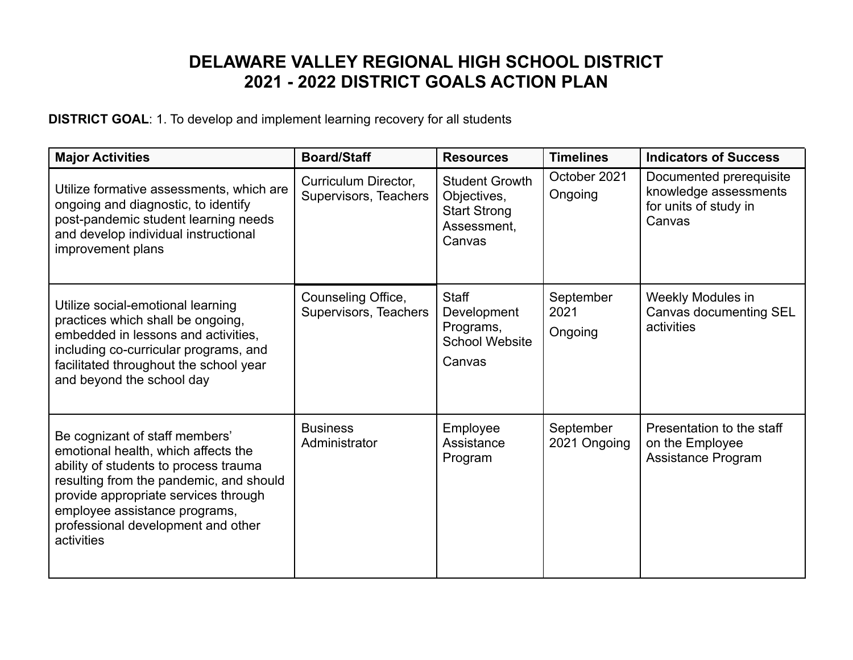## **DELAWARE VALLEY REGIONAL HIGH SCHOOL DISTRICT 2021 - 2022 DISTRICT GOALS ACTION PLAN**

**DISTRICT GOAL**: 1. To develop and implement learning recovery for all students

| <b>Major Activities</b>                                                                                                                                                                                                                                                                | <b>Board/Staff</b>                            | <b>Resources</b>                                                                     | <b>Timelines</b>             | <b>Indicators of Success</b>                                                        |
|----------------------------------------------------------------------------------------------------------------------------------------------------------------------------------------------------------------------------------------------------------------------------------------|-----------------------------------------------|--------------------------------------------------------------------------------------|------------------------------|-------------------------------------------------------------------------------------|
| Utilize formative assessments, which are<br>ongoing and diagnostic, to identify<br>post-pandemic student learning needs<br>and develop individual instructional<br>improvement plans                                                                                                   | Curriculum Director,<br>Supervisors, Teachers | <b>Student Growth</b><br>Objectives,<br><b>Start Strong</b><br>Assessment,<br>Canvas | October 2021<br>Ongoing      | Documented prerequisite<br>knowledge assessments<br>for units of study in<br>Canvas |
| Utilize social-emotional learning<br>practices which shall be ongoing,<br>embedded in lessons and activities,<br>including co-curricular programs, and<br>facilitated throughout the school year<br>and beyond the school day                                                          | Counseling Office,<br>Supervisors, Teachers   | <b>Staff</b><br>Development<br>Programs,<br><b>School Website</b><br>Canvas          | September<br>2021<br>Ongoing | Weekly Modules in<br>Canvas documenting SEL<br>activities                           |
| Be cognizant of staff members'<br>emotional health, which affects the<br>ability of students to process trauma<br>resulting from the pandemic, and should<br>provide appropriate services through<br>employee assistance programs,<br>professional development and other<br>activities | <b>Business</b><br>Administrator              | Employee<br>Assistance<br>Program                                                    | September<br>2021 Ongoing    | Presentation to the staff<br>on the Employee<br><b>Assistance Program</b>           |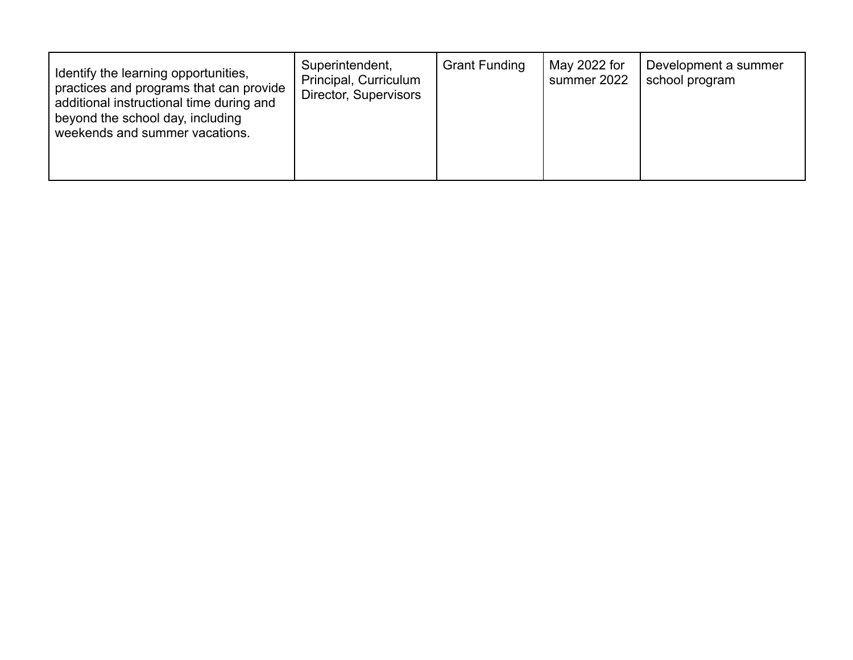| Identify the learning opportunities,<br>practices and programs that can provide<br>additional instructional time during and<br>beyond the school day, including<br>weekends and summer vacations. | Superintendent,<br>Principal, Curriculum<br>Director, Supervisors | <b>Grant Funding</b> | May 2022 for<br>summer 2022 | Development a summer<br>school program |
|---------------------------------------------------------------------------------------------------------------------------------------------------------------------------------------------------|-------------------------------------------------------------------|----------------------|-----------------------------|----------------------------------------|
|---------------------------------------------------------------------------------------------------------------------------------------------------------------------------------------------------|-------------------------------------------------------------------|----------------------|-----------------------------|----------------------------------------|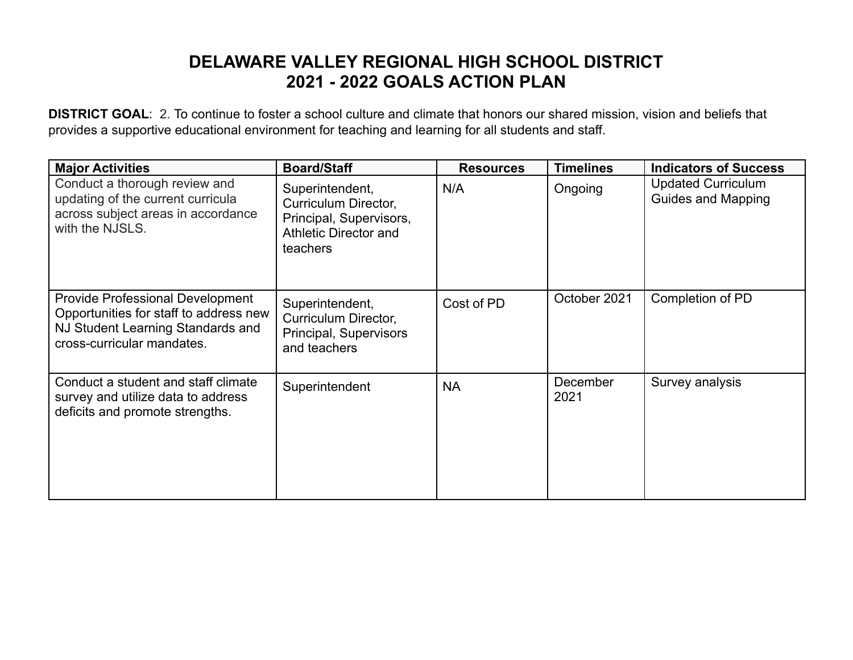## **DELAWARE VALLEY REGIONAL HIGH SCHOOL DISTRICT 2021 - 2022 GOALS ACTION PLAN**

**DISTRICT GOAL**: 2. To continue to foster a school culture and climate that honors our shared mission, vision and beliefs that provides a supportive educational environment for teaching and learning for all students and staff.

| <b>Major Activities</b>                                                                                                                              | <b>Board/Staff</b>                                                                                      | <b>Resources</b> | <b>Timelines</b> | <b>Indicators of Success</b>                           |
|------------------------------------------------------------------------------------------------------------------------------------------------------|---------------------------------------------------------------------------------------------------------|------------------|------------------|--------------------------------------------------------|
| Conduct a thorough review and<br>updating of the current curricula<br>across subject areas in accordance<br>with the NJSLS.                          | Superintendent,<br>Curriculum Director,<br>Principal, Supervisors,<br>Athletic Director and<br>teachers | N/A              | Ongoing          | <b>Updated Curriculum</b><br><b>Guides and Mapping</b> |
| <b>Provide Professional Development</b><br>Opportunities for staff to address new<br>NJ Student Learning Standards and<br>cross-curricular mandates. | Superintendent,<br>Curriculum Director,<br>Principal, Supervisors<br>and teachers                       | Cost of PD       | October 2021     | Completion of PD                                       |
| Conduct a student and staff climate<br>survey and utilize data to address<br>deficits and promote strengths.                                         | Superintendent                                                                                          | <b>NA</b>        | December<br>2021 | Survey analysis                                        |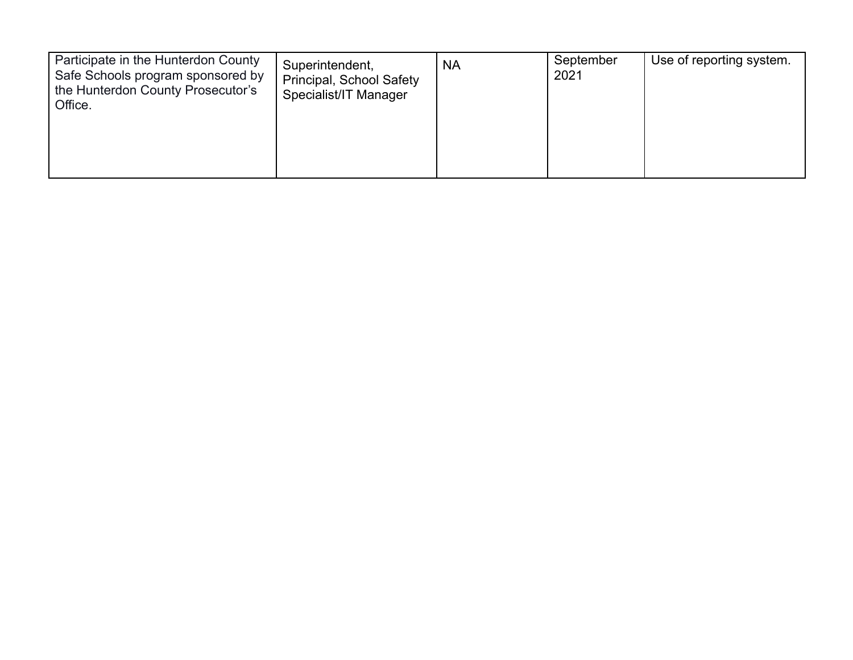| Participate in the Hunterdon County<br>Safe Schools program sponsored by<br>the Hunterdon County Prosecutor's<br>Office. | Superintendent,<br>Principal, School Safety<br>Specialist/IT Manager | <b>NA</b> | September<br>2021 | Use of reporting system. |
|--------------------------------------------------------------------------------------------------------------------------|----------------------------------------------------------------------|-----------|-------------------|--------------------------|
|                                                                                                                          |                                                                      |           |                   |                          |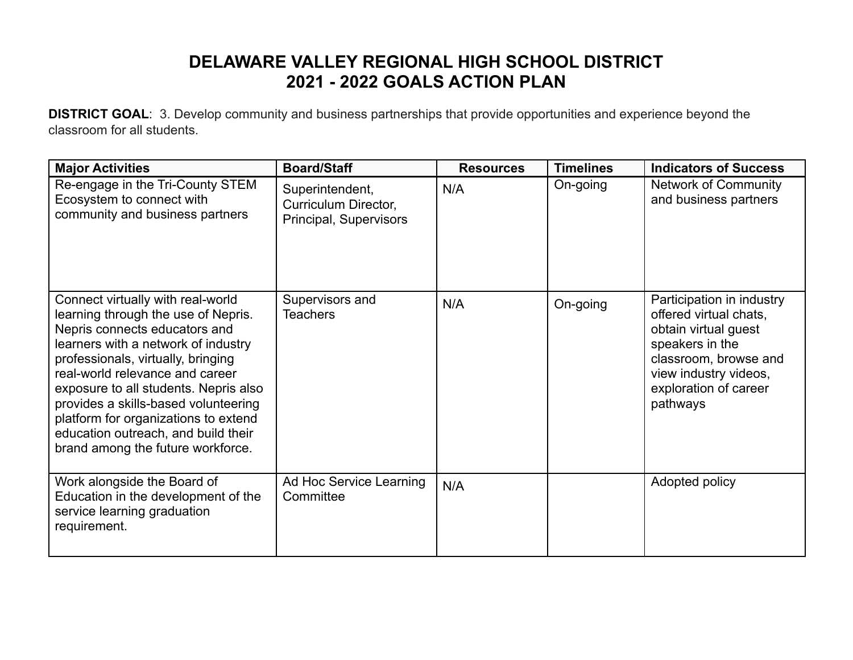## **DELAWARE VALLEY REGIONAL HIGH SCHOOL DISTRICT 2021 - 2022 GOALS ACTION PLAN**

**DISTRICT GOAL**: 3. Develop community and business partnerships that provide opportunities and experience beyond the classroom for all students.

| <b>Major Activities</b>                                                                                                                                                                                                                                                                                                                                                                                                        | <b>Board/Staff</b>                                                | <b>Resources</b> | <b>Timelines</b> | <b>Indicators of Success</b>                                                                                                                                                          |
|--------------------------------------------------------------------------------------------------------------------------------------------------------------------------------------------------------------------------------------------------------------------------------------------------------------------------------------------------------------------------------------------------------------------------------|-------------------------------------------------------------------|------------------|------------------|---------------------------------------------------------------------------------------------------------------------------------------------------------------------------------------|
| Re-engage in the Tri-County STEM<br>Ecosystem to connect with<br>community and business partners                                                                                                                                                                                                                                                                                                                               | Superintendent,<br>Curriculum Director,<br>Principal, Supervisors | N/A              | On-going         | <b>Network of Community</b><br>and business partners                                                                                                                                  |
| Connect virtually with real-world<br>learning through the use of Nepris.<br>Nepris connects educators and<br>learners with a network of industry<br>professionals, virtually, bringing<br>real-world relevance and career<br>exposure to all students. Nepris also<br>provides a skills-based volunteering<br>platform for organizations to extend<br>education outreach, and build their<br>brand among the future workforce. | Supervisors and<br><b>Teachers</b>                                | N/A              | On-going         | Participation in industry<br>offered virtual chats,<br>obtain virtual guest<br>speakers in the<br>classroom, browse and<br>view industry videos,<br>exploration of career<br>pathways |
| Work alongside the Board of<br>Education in the development of the<br>service learning graduation<br>requirement.                                                                                                                                                                                                                                                                                                              | Ad Hoc Service Learning<br>Committee                              | N/A              |                  | Adopted policy                                                                                                                                                                        |